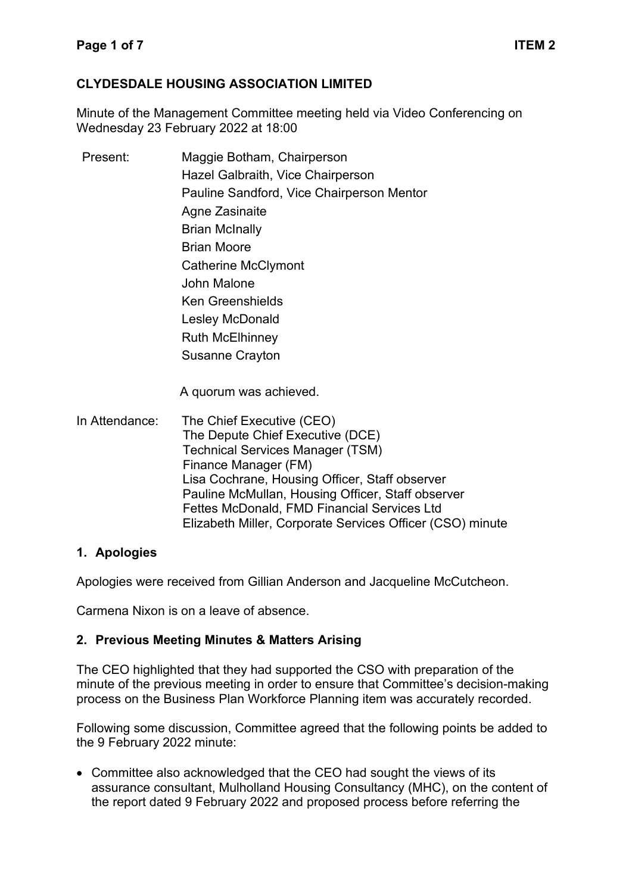## **CLYDESDALE HOUSING ASSOCIATION LIMITED**

Minute of the Management Committee meeting held via Video Conferencing on Wednesday 23 February 2022 at 18:00

Present: Maggie Botham, Chairperson Hazel Galbraith, Vice Chairperson Pauline Sandford, Vice Chairperson Mentor Agne Zasinaite Brian McInally Brian Moore Catherine McClymont John Malone Ken Greenshields Lesley McDonald Ruth McElhinney Susanne Crayton

A quorum was achieved.

In Attendance: The Chief Executive (CEO) The Depute Chief Executive (DCE) Technical Services Manager (TSM) Finance Manager (FM) Lisa Cochrane, Housing Officer, Staff observer Pauline McMullan, Housing Officer, Staff observer Fettes McDonald, FMD Financial Services Ltd Elizabeth Miller, Corporate Services Officer (CSO) minute

# **1. Apologies**

Apologies were received from Gillian Anderson and Jacqueline McCutcheon.

Carmena Nixon is on a leave of absence.

# **2. Previous Meeting Minutes & Matters Arising**

The CEO highlighted that they had supported the CSO with preparation of the minute of the previous meeting in order to ensure that Committee's decision-making process on the Business Plan Workforce Planning item was accurately recorded.

Following some discussion, Committee agreed that the following points be added to the 9 February 2022 minute:

• Committee also acknowledged that the CEO had sought the views of its assurance consultant, Mulholland Housing Consultancy (MHC), on the content of the report dated 9 February 2022 and proposed process before referring the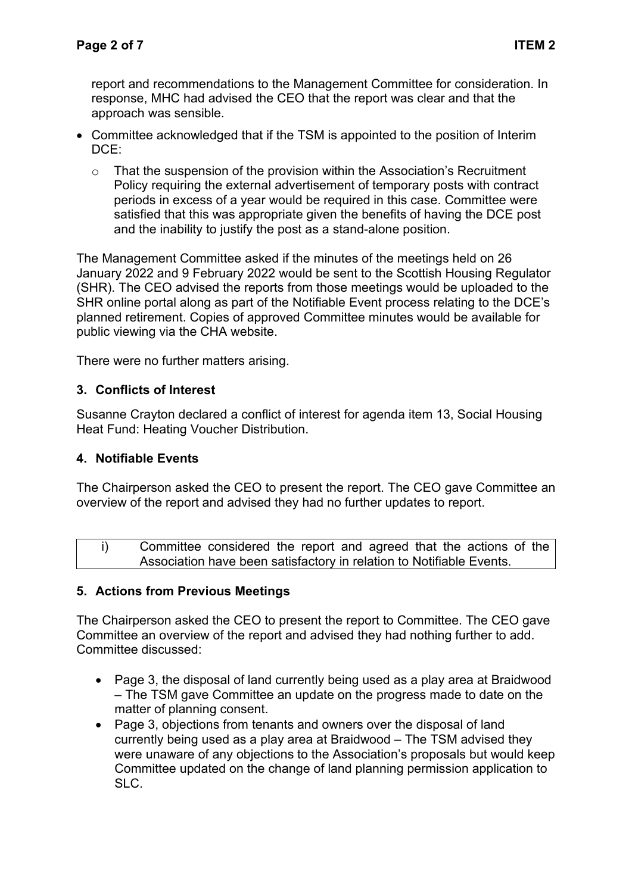report and recommendations to the Management Committee for consideration. In response, MHC had advised the CEO that the report was clear and that the approach was sensible.

- Committee acknowledged that if the TSM is appointed to the position of Interim DCE:
	- o That the suspension of the provision within the Association's Recruitment Policy requiring the external advertisement of temporary posts with contract periods in excess of a year would be required in this case. Committee were satisfied that this was appropriate given the benefits of having the DCE post and the inability to justify the post as a stand-alone position.

The Management Committee asked if the minutes of the meetings held on 26 January 2022 and 9 February 2022 would be sent to the Scottish Housing Regulator (SHR). The CEO advised the reports from those meetings would be uploaded to the SHR online portal along as part of the Notifiable Event process relating to the DCE's planned retirement. Copies of approved Committee minutes would be available for public viewing via the CHA website.

There were no further matters arising.

# **3. Conflicts of Interest**

Susanne Crayton declared a conflict of interest for agenda item 13, Social Housing Heat Fund: Heating Voucher Distribution.

# **4. Notifiable Events**

The Chairperson asked the CEO to present the report. The CEO gave Committee an overview of the report and advised they had no further updates to report.

| Committee considered the report and agreed that the actions of the |                                                                      |  |  |  |  |  |
|--------------------------------------------------------------------|----------------------------------------------------------------------|--|--|--|--|--|
|                                                                    | Association have been satisfactory in relation to Notifiable Events. |  |  |  |  |  |

### **5. Actions from Previous Meetings**

The Chairperson asked the CEO to present the report to Committee. The CEO gave Committee an overview of the report and advised they had nothing further to add. Committee discussed:

- Page 3, the disposal of land currently being used as a play area at Braidwood – The TSM gave Committee an update on the progress made to date on the matter of planning consent.
- Page 3, objections from tenants and owners over the disposal of land currently being used as a play area at Braidwood – The TSM advised they were unaware of any objections to the Association's proposals but would keep Committee updated on the change of land planning permission application to SLC.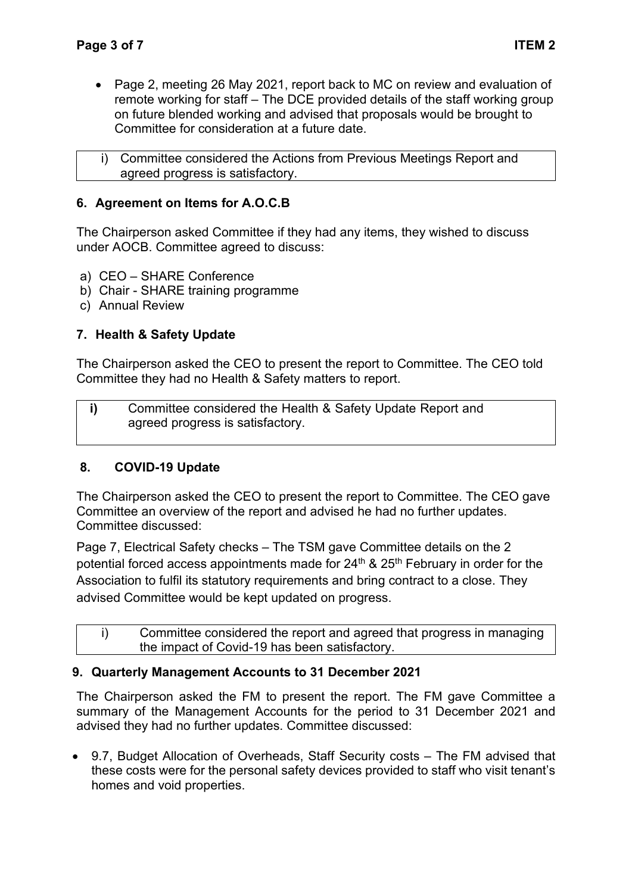- Page 2, meeting 26 May 2021, report back to MC on review and evaluation of remote working for staff – The DCE provided details of the staff working group on future blended working and advised that proposals would be brought to Committee for consideration at a future date.
- i) Committee considered the Actions from Previous Meetings Report and agreed progress is satisfactory.

## **6. Agreement on Items for A.O.C.B**

The Chairperson asked Committee if they had any items, they wished to discuss under AOCB. Committee agreed to discuss:

- a) CEO SHARE Conference
- b) Chair SHARE training programme
- c) Annual Review

## **7. Health & Safety Update**

The Chairperson asked the CEO to present the report to Committee. The CEO told Committee they had no Health & Safety matters to report.

| Committee considered the Health & Safety Update Report and |
|------------------------------------------------------------|
| agreed progress is satisfactory.                           |

### **8. COVID-19 Update**

The Chairperson asked the CEO to present the report to Committee. The CEO gave Committee an overview of the report and advised he had no further updates. Committee discussed:

Page 7, Electrical Safety checks – The TSM gave Committee details on the 2 potential forced access appointments made for  $24<sup>th</sup>$  &  $25<sup>th</sup>$  February in order for the Association to fulfil its statutory requirements and bring contract to a close. They advised Committee would be kept updated on progress.

| Committee considered the report and agreed that progress in managing |
|----------------------------------------------------------------------|
| the impact of Covid-19 has been satisfactory.                        |

### **9. Quarterly Management Accounts to 31 December 2021**

The Chairperson asked the FM to present the report. The FM gave Committee a summary of the Management Accounts for the period to 31 December 2021 and advised they had no further updates. Committee discussed:

• 9.7, Budget Allocation of Overheads, Staff Security costs – The FM advised that these costs were for the personal safety devices provided to staff who visit tenant's homes and void properties.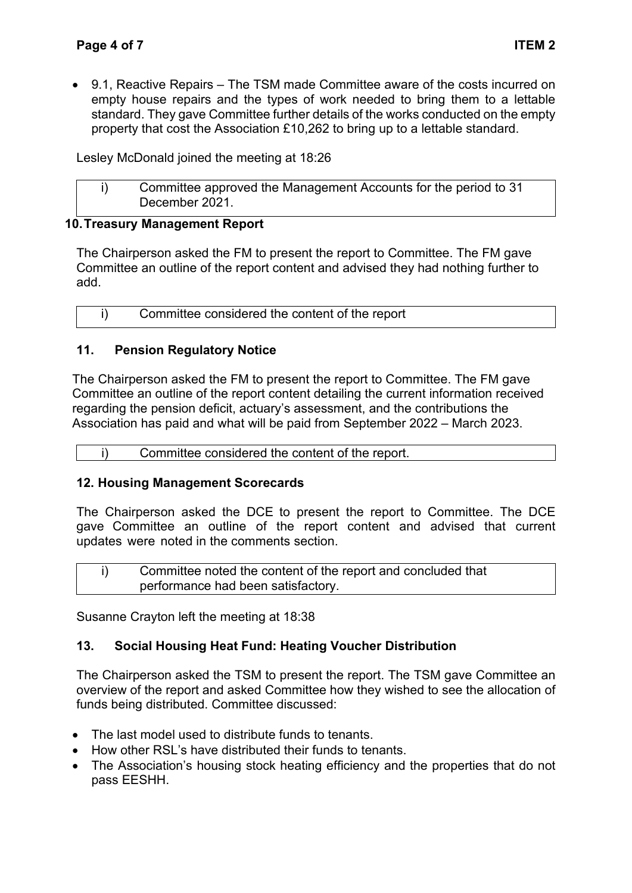• 9.1, Reactive Repairs – The TSM made Committee aware of the costs incurred on empty house repairs and the types of work needed to bring them to a lettable standard. They gave Committee further details of the works conducted on the empty property that cost the Association £10,262 to bring up to a lettable standard.

Lesley McDonald joined the meeting at 18:26

| Committee approved the Management Accounts for the period to 31 |
|-----------------------------------------------------------------|
| December 2021.                                                  |

## **10.Treasury Management Report**

The Chairperson asked the FM to present the report to Committee. The FM gave Committee an outline of the report content and advised they had nothing further to add.

i) Committee considered the content of the report

# **11. Pension Regulatory Notice**

The Chairperson asked the FM to present the report to Committee. The FM gave Committee an outline of the report content detailing the current information received regarding the pension deficit, actuary's assessment, and the contributions the Association has paid and what will be paid from September 2022 – March 2023.

i) Committee considered the content of the report.

### **12. Housing Management Scorecards**

The Chairperson asked the DCE to present the report to Committee. The DCE gave Committee an outline of the report content and advised that current updates were noted in the comments section.

| Committee noted the content of the report and concluded that |
|--------------------------------------------------------------|
| performance had been satisfactory.                           |

Susanne Crayton left the meeting at 18:38

# **13. Social Housing Heat Fund: Heating Voucher Distribution**

The Chairperson asked the TSM to present the report. The TSM gave Committee an overview of the report and asked Committee how they wished to see the allocation of funds being distributed. Committee discussed:

- The last model used to distribute funds to tenants.
- How other RSL's have distributed their funds to tenants.
- The Association's housing stock heating efficiency and the properties that do not pass EESHH.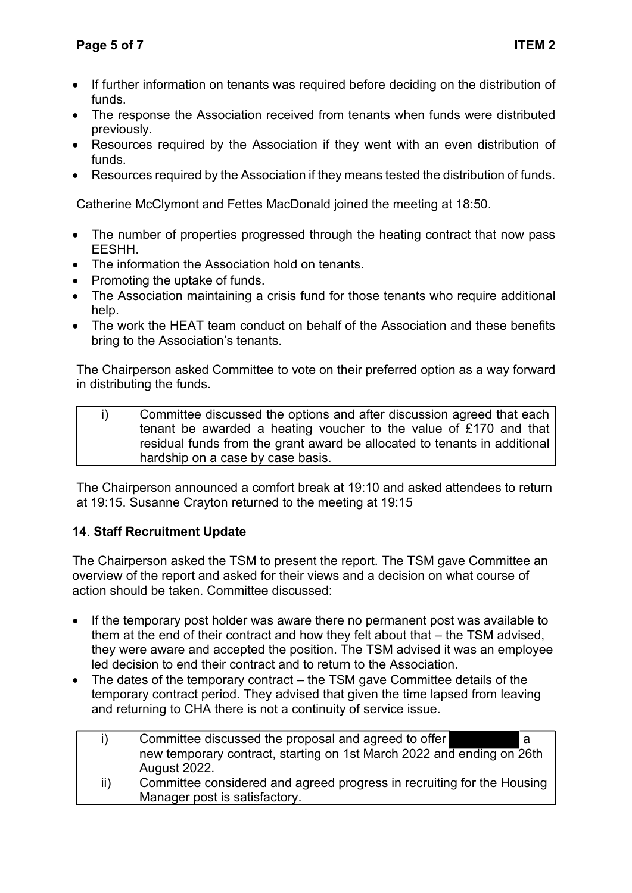- If further information on tenants was required before deciding on the distribution of funds.
- The response the Association received from tenants when funds were distributed previously.
- Resources required by the Association if they went with an even distribution of funds.
- Resources required by the Association if they means tested the distribution of funds.

Catherine McClymont and Fettes MacDonald joined the meeting at 18:50.

- The number of properties progressed through the heating contract that now pass EESHH.
- The information the Association hold on tenants.
- Promoting the uptake of funds.
- The Association maintaining a crisis fund for those tenants who require additional help.
- The work the HEAT team conduct on behalf of the Association and these benefits bring to the Association's tenants.

The Chairperson asked Committee to vote on their preferred option as a way forward in distributing the funds.



The Chairperson announced a comfort break at 19:10 and asked attendees to return at 19:15. Susanne Crayton returned to the meeting at 19:15

# **14**. **Staff Recruitment Update**

The Chairperson asked the TSM to present the report. The TSM gave Committee an overview of the report and asked for their views and a decision on what course of action should be taken. Committee discussed:

- If the temporary post holder was aware there no permanent post was available to them at the end of their contract and how they felt about that – the TSM advised, they were aware and accepted the position. The TSM advised it was an employee led decision to end their contract and to return to the Association.
- The dates of the temporary contract the TSM gave Committee details of the temporary contract period. They advised that given the time lapsed from leaving and returning to CHA there is not a continuity of service issue.

|               | Committee discussed the proposal and agreed to offer                   |
|---------------|------------------------------------------------------------------------|
|               | new temporary contract, starting on 1st March 2022 and ending on 26th  |
|               | <b>August 2022.</b>                                                    |
| $\mathsf{ii}$ | Committee considered and agreed progress in recruiting for the Housing |
|               | Manager post is satisfactory.                                          |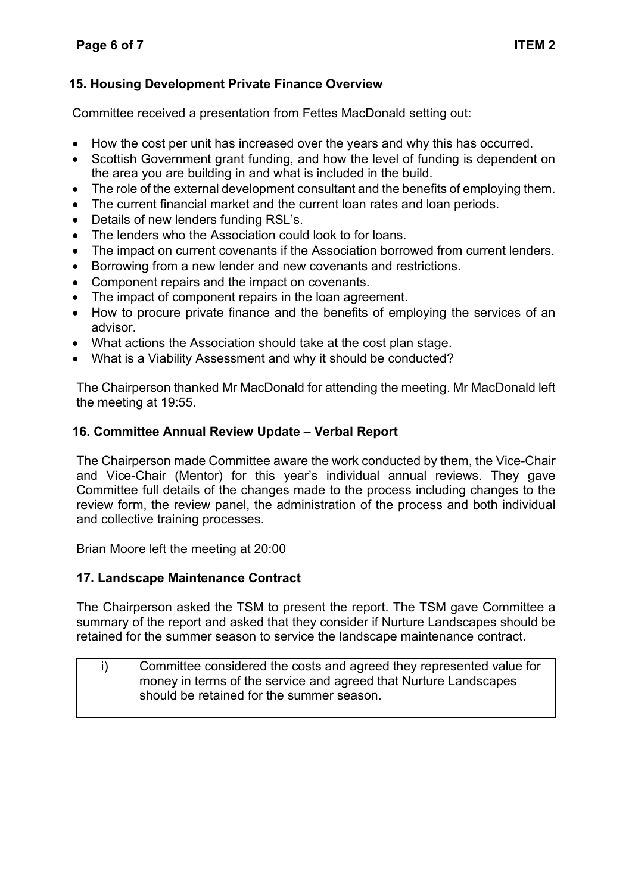# **15. Housing Development Private Finance Overview**

Committee received a presentation from Fettes MacDonald setting out:

- How the cost per unit has increased over the years and why this has occurred.
- Scottish Government grant funding, and how the level of funding is dependent on the area you are building in and what is included in the build.
- The role of the external development consultant and the benefits of employing them.
- The current financial market and the current loan rates and loan periods.
- Details of new lenders funding RSL's.
- The lenders who the Association could look to for loans.
- The impact on current covenants if the Association borrowed from current lenders.
- Borrowing from a new lender and new covenants and restrictions.
- Component repairs and the impact on covenants.
- The impact of component repairs in the loan agreement.
- How to procure private finance and the benefits of employing the services of an advisor.
- What actions the Association should take at the cost plan stage.
- What is a Viability Assessment and why it should be conducted?

The Chairperson thanked Mr MacDonald for attending the meeting. Mr MacDonald left the meeting at 19:55.

# **16. Committee Annual Review Update – Verbal Report**

The Chairperson made Committee aware the work conducted by them, the Vice-Chair and Vice-Chair (Mentor) for this year's individual annual reviews. They gave Committee full details of the changes made to the process including changes to the review form, the review panel, the administration of the process and both individual and collective training processes.

Brian Moore left the meeting at 20:00

# **17. Landscape Maintenance Contract**

The Chairperson asked the TSM to present the report. The TSM gave Committee a summary of the report and asked that they consider if Nurture Landscapes should be retained for the summer season to service the landscape maintenance contract.

i) Committee considered the costs and agreed they represented value for money in terms of the service and agreed that Nurture Landscapes should be retained for the summer season.